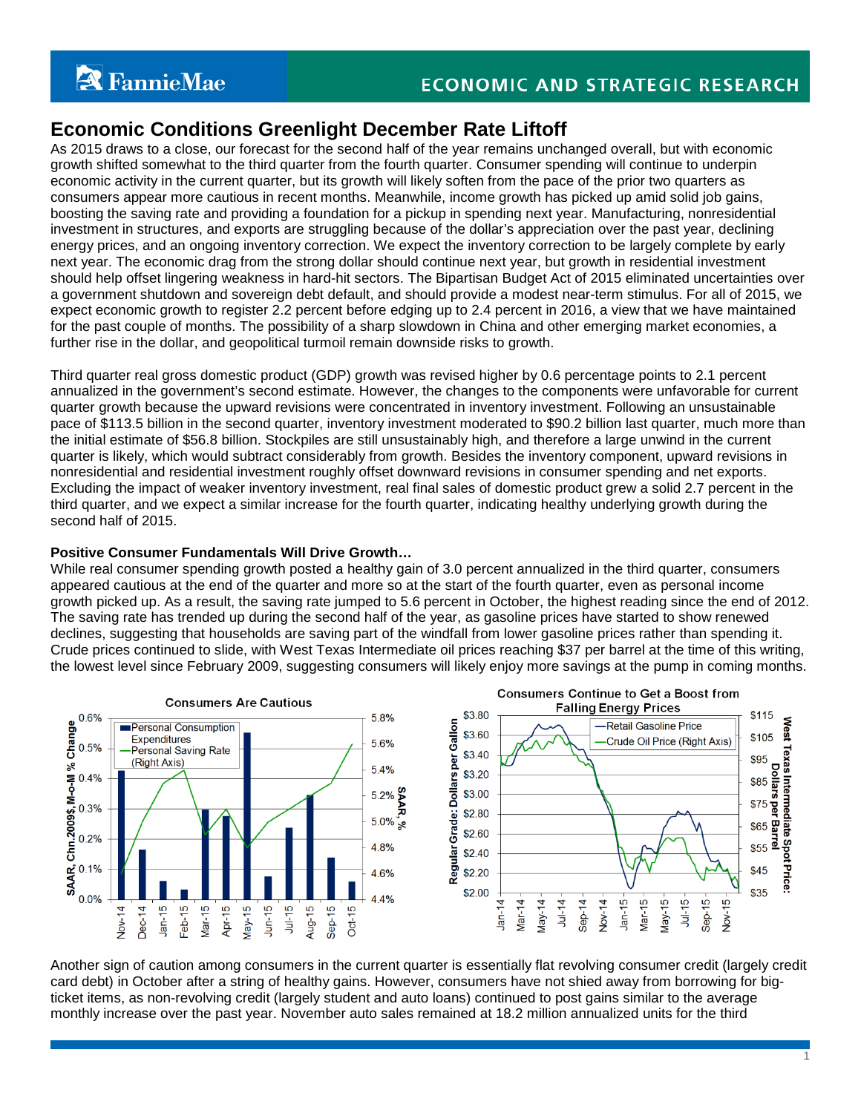1

# **Economic Conditions Greenlight December Rate Liftoff**

As 2015 draws to a close, our forecast for the second half of the year remains unchanged overall, but with economic growth shifted somewhat to the third quarter from the fourth quarter. Consumer spending will continue to underpin economic activity in the current quarter, but its growth will likely soften from the pace of the prior two quarters as consumers appear more cautious in recent months. Meanwhile, income growth has picked up amid solid job gains, boosting the saving rate and providing a foundation for a pickup in spending next year. Manufacturing, nonresidential investment in structures, and exports are struggling because of the dollar's appreciation over the past year, declining energy prices, and an ongoing inventory correction. We expect the inventory correction to be largely complete by early next year. The economic drag from the strong dollar should continue next year, but growth in residential investment should help offset lingering weakness in hard-hit sectors. The Bipartisan Budget Act of 2015 eliminated uncertainties over a government shutdown and sovereign debt default, and should provide a modest near-term stimulus. For all of 2015, we expect economic growth to register 2.2 percent before edging up to 2.4 percent in 2016, a view that we have maintained for the past couple of months. The possibility of a sharp slowdown in China and other emerging market economies, a further rise in the dollar, and geopolitical turmoil remain downside risks to growth.

Third quarter real gross domestic product (GDP) growth was revised higher by 0.6 percentage points to 2.1 percent annualized in the government's second estimate. However, the changes to the components were unfavorable for current quarter growth because the upward revisions were concentrated in inventory investment. Following an unsustainable pace of \$113.5 billion in the second quarter, inventory investment moderated to \$90.2 billion last quarter, much more than the initial estimate of \$56.8 billion. Stockpiles are still unsustainably high, and therefore a large unwind in the current quarter is likely, which would subtract considerably from growth. Besides the inventory component, upward revisions in nonresidential and residential investment roughly offset downward revisions in consumer spending and net exports. Excluding the impact of weaker inventory investment, real final sales of domestic product grew a solid 2.7 percent in the third quarter, and we expect a similar increase for the fourth quarter, indicating healthy underlying growth during the second half of 2015.

# **Positive Consumer Fundamentals Will Drive Growth…**

While real consumer spending growth posted a healthy gain of 3.0 percent annualized in the third quarter, consumers appeared cautious at the end of the quarter and more so at the start of the fourth quarter, even as personal income growth picked up. As a result, the saving rate jumped to 5.6 percent in October, the highest reading since the end of 2012. The saving rate has trended up during the second half of the year, as gasoline prices have started to show renewed declines, suggesting that households are saving part of the windfall from lower gasoline prices rather than spending it. Crude prices continued to slide, with West Texas Intermediate oil prices reaching \$37 per barrel at the time of this writing, the lowest level since February 2009, suggesting consumers will likely enjoy more savings at the pump in coming months.



Another sign of caution among consumers in the current quarter is essentially flat revolving consumer credit (largely credit card debt) in October after a string of healthy gains. However, consumers have not shied away from borrowing for bigticket items, as non-revolving credit (largely student and auto loans) continued to post gains similar to the average monthly increase over the past year. November auto sales remained at 18.2 million annualized units for the third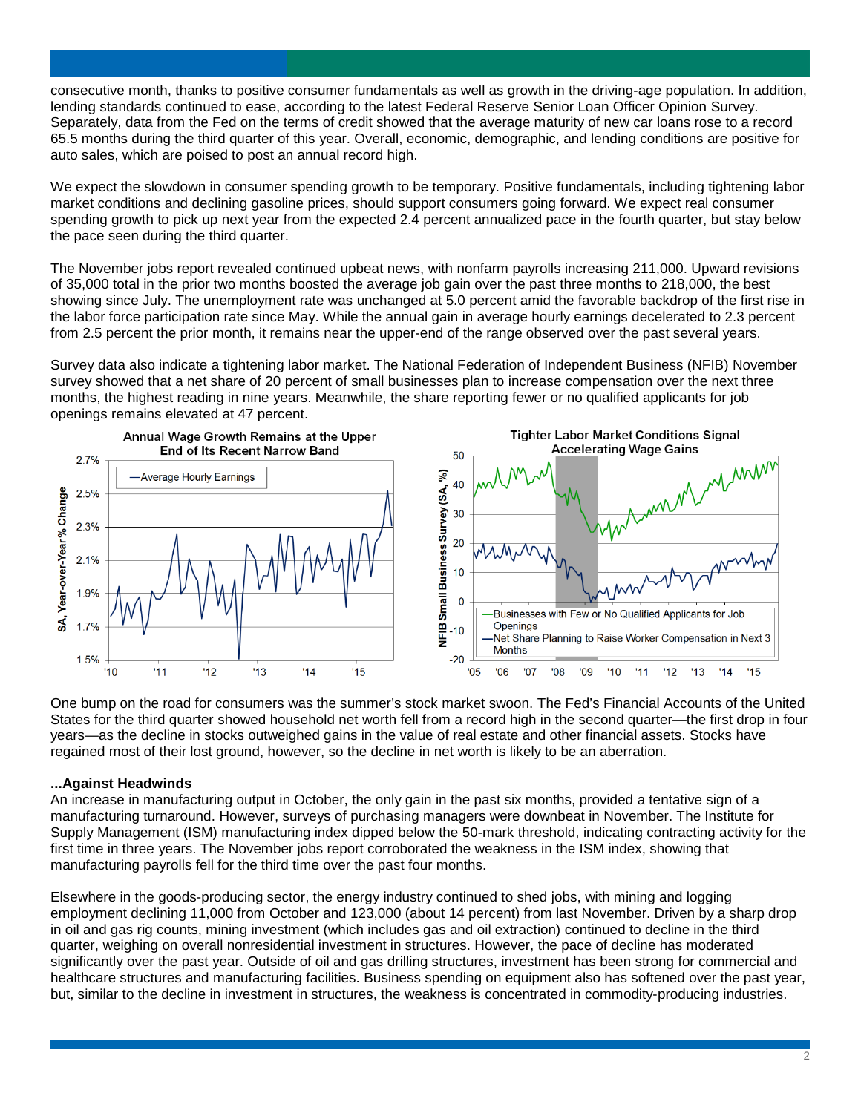consecutive month, thanks to positive consumer fundamentals as well as growth in the driving-age population. In addition, lending standards continued to ease, according to the latest Federal Reserve Senior Loan Officer Opinion Survey. Separately, data from the Fed on the terms of credit showed that the average maturity of new car loans rose to a record 65.5 months during the third quarter of this year. Overall, economic, demographic, and lending conditions are positive for auto sales, which are poised to post an annual record high.

We expect the slowdown in consumer spending growth to be temporary. Positive fundamentals, including tightening labor market conditions and declining gasoline prices, should support consumers going forward. We expect real consumer spending growth to pick up next year from the expected 2.4 percent annualized pace in the fourth quarter, but stay below the pace seen during the third quarter.

The November jobs report revealed continued upbeat news, with nonfarm payrolls increasing 211,000. Upward revisions of 35,000 total in the prior two months boosted the average job gain over the past three months to 218,000, the best showing since July. The unemployment rate was unchanged at 5.0 percent amid the favorable backdrop of the first rise in the labor force participation rate since May. While the annual gain in average hourly earnings decelerated to 2.3 percent from 2.5 percent the prior month, it remains near the upper-end of the range observed over the past several years.

Survey data also indicate a tightening labor market. The National Federation of Independent Business (NFIB) November survey showed that a net share of 20 percent of small businesses plan to increase compensation over the next three months, the highest reading in nine years. Meanwhile, the share reporting fewer or no qualified applicants for job openings remains elevated at 47 percent.



One bump on the road for consumers was the summer's stock market swoon. The Fed's Financial Accounts of the United States for the third quarter showed household net worth fell from a record high in the second quarter—the first drop in four years—as the decline in stocks outweighed gains in the value of real estate and other financial assets. Stocks have regained most of their lost ground, however, so the decline in net worth is likely to be an aberration.

# **...Against Headwinds**

An increase in manufacturing output in October, the only gain in the past six months, provided a tentative sign of a manufacturing turnaround. However, surveys of purchasing managers were downbeat in November. The Institute for Supply Management (ISM) manufacturing index dipped below the 50-mark threshold, indicating contracting activity for the first time in three years. The November jobs report corroborated the weakness in the ISM index, showing that manufacturing payrolls fell for the third time over the past four months.

Elsewhere in the goods-producing sector, the energy industry continued to shed jobs, with mining and logging employment declining 11,000 from October and 123,000 (about 14 percent) from last November. Driven by a sharp drop in oil and gas rig counts, mining investment (which includes gas and oil extraction) continued to decline in the third quarter, weighing on overall nonresidential investment in structures. However, the pace of decline has moderated significantly over the past year. Outside of oil and gas drilling structures, investment has been strong for commercial and healthcare structures and manufacturing facilities. Business spending on equipment also has softened over the past year, but, similar to the decline in investment in structures, the weakness is concentrated in commodity-producing industries.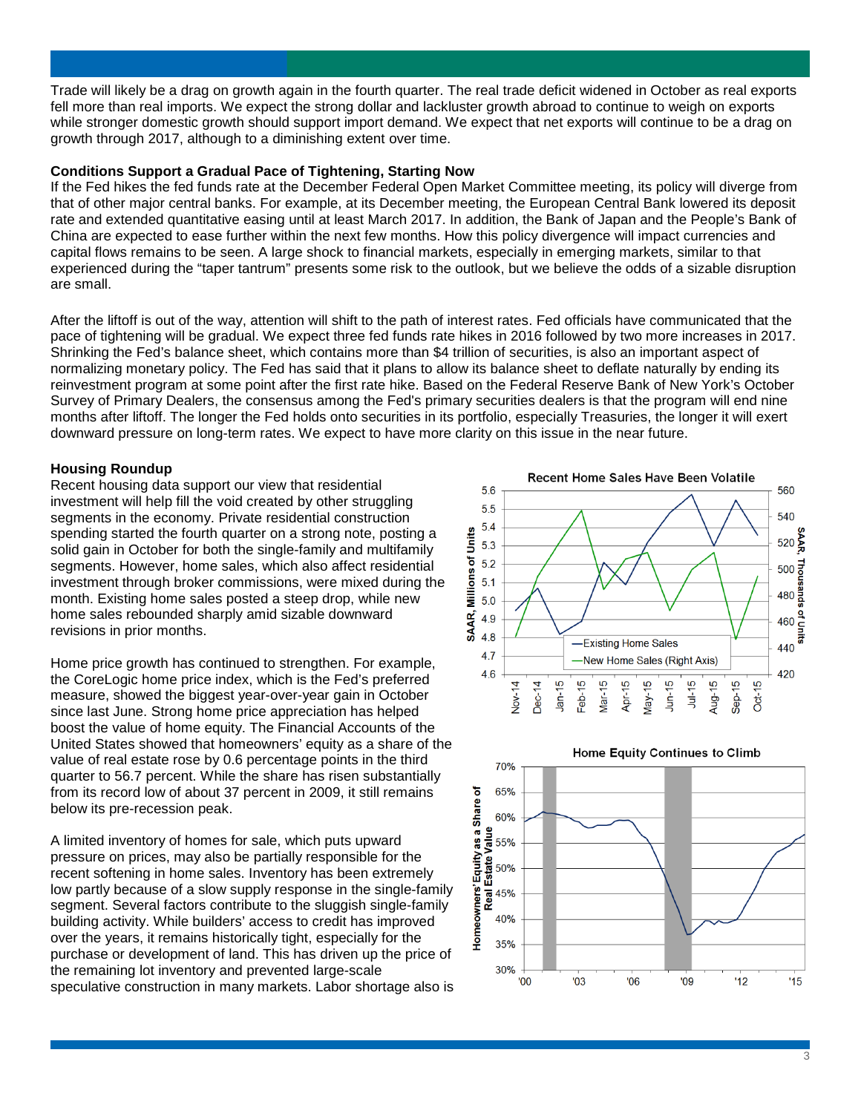Trade will likely be a drag on growth again in the fourth quarter. The real trade deficit widened in October as real exports fell more than real imports. We expect the strong dollar and lackluster growth abroad to continue to weigh on exports while stronger domestic growth should support import demand. We expect that net exports will continue to be a drag on growth through 2017, although to a diminishing extent over time.

## **Conditions Support a Gradual Pace of Tightening, Starting Now**

If the Fed hikes the fed funds rate at the December Federal Open Market Committee meeting, its policy will diverge from that of other major central banks. For example, at its December meeting, the European Central Bank lowered its deposit rate and extended quantitative easing until at least March 2017. In addition, the Bank of Japan and the People's Bank of China are expected to ease further within the next few months. How this policy divergence will impact currencies and capital flows remains to be seen. A large shock to financial markets, especially in emerging markets, similar to that experienced during the "taper tantrum" presents some risk to the outlook, but we believe the odds of a sizable disruption are small.

After the liftoff is out of the way, attention will shift to the path of interest rates. Fed officials have communicated that the pace of tightening will be gradual. We expect three fed funds rate hikes in 2016 followed by two more increases in 2017. Shrinking the Fed's balance sheet, which contains more than \$4 trillion of securities, is also an important aspect of normalizing monetary policy. The Fed has said that it plans to allow its balance sheet to deflate naturally by ending its reinvestment program at some point after the first rate hike. Based on the Federal Reserve Bank of New York's October Survey of Primary Dealers, the consensus among the Fed's primary securities dealers is that the program will end nine months after liftoff. The longer the Fed holds onto securities in its portfolio, especially Treasuries, the longer it will exert downward pressure on long-term rates. We expect to have more clarity on this issue in the near future.

### **Housing Roundup**

Recent housing data support our view that residential investment will help fill the void created by other struggling segments in the economy. Private residential construction spending started the fourth quarter on a strong note, posting a solid gain in October for both the single-family and multifamily segments. However, home sales, which also affect residential investment through broker commissions, were mixed during the month. Existing home sales posted a steep drop, while new home sales rebounded sharply amid sizable downward revisions in prior months.

Home price growth has continued to strengthen. For example, the CoreLogic home price index, which is the Fed's preferred measure, showed the biggest year-over-year gain in October since last June. Strong home price appreciation has helped boost the value of home equity. The Financial Accounts of the United States showed that homeowners' equity as a share of the value of real estate rose by 0.6 percentage points in the third quarter to 56.7 percent. While the share has risen substantially from its record low of about 37 percent in 2009, it still remains below its pre-recession peak.

A limited inventory of homes for sale, which puts upward pressure on prices, may also be partially responsible for the recent softening in home sales. Inventory has been extremely low partly because of a slow supply response in the single-family segment. Several factors contribute to the sluggish single-family building activity. While builders' access to credit has improved over the years, it remains historically tight, especially for the purchase or development of land. This has driven up the price of the remaining lot inventory and prevented large-scale speculative construction in many markets. Labor shortage also is





Home Equity Continues to Climb